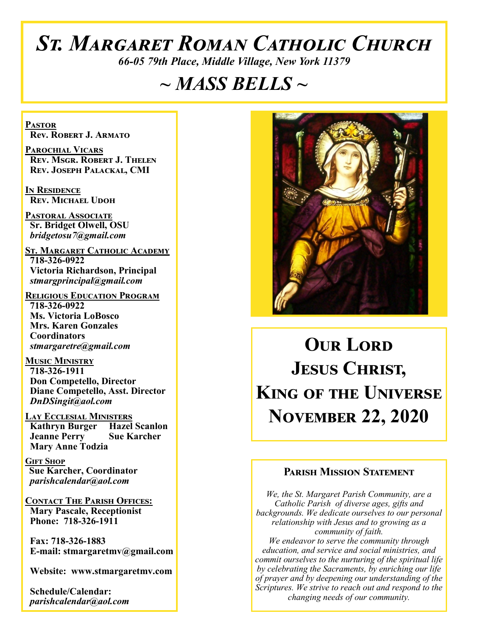# *St. Margaret Roman Catholic Church*

*66-05 79th Place, Middle Village, New York 11379*

# *~ MASS BELLS ~*

**Pastor Rev. Robert J. Armato**

**Parochial Vicars Rev. Msgr. Robert J. Thelen Rev. Joseph Palackal, CMI**

**In Residence Rev. Michael Udoh**

**Pastoral Associate Sr. Bridget Olwell, OSU**  *bridgetosu7@gmail.com*

**St. Margaret Catholic Academy 718-326-0922 Victoria Richardson, Principal**  *stmargprincipal@gmail.com*

**Religious Education Program 718-326-0922 Ms. Victoria LoBosco Mrs. Karen Gonzales Coordinators** *stmargaretre@gmail.com*

**Music Ministry 718-326-1911 Don Competello, Director Diane Competello, Asst. Director** *DnDSingit@aol.com*

**Lay Ecclesial Ministers Kathryn Burger Hazel Scanlon**<br>**Jeanne Perry Sue Karcher Jeanne Perry Mary Anne Todzia**

**Gift Shop Sue Karcher, Coordinator** *parishcalendar@aol.com*

**Contact The Parish Offices: Mary Pascale, Receptionist Phone: 718-326-1911** 

 **Fax: 718-326-1883 E-mail: stmargaretmv@gmail.com**

 **Website: www.stmargaretmv.com**

 **Schedule/Calendar:** *parishcalendar@aol.com* 



**OUR LORD Jesus Christ, King of the Universe November 22, 2020** 

#### **Parish Mission Statement**

*We, the St. Margaret Parish Community, are a Catholic Parish of diverse ages, gifts and backgrounds. We dedicate ourselves to our personal relationship with Jesus and to growing as a community of faith. We endeavor to serve the community through education, and service and social ministries, and commit ourselves to the nurturing of the spiritual life by celebrating the Sacraments, by enriching our life of prayer and by deepening our understanding of the Scriptures. We strive to reach out and respond to the changing needs of our community.*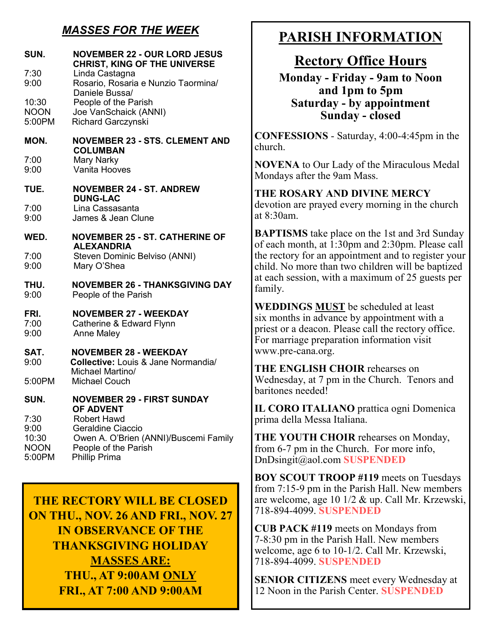# *MASSES FOR THE WEEK*

| SUN.<br>7:30                                   | <b>NOVEMBER 22 - OUR LORD JESUS</b><br><b>CHRIST, KING OF THE UNIVERSE</b><br>Linda Castagna                                     |
|------------------------------------------------|----------------------------------------------------------------------------------------------------------------------------------|
| 9:00                                           | Rosario, Rosaria e Nunzio Taormina/<br>Daniele Bussa/                                                                            |
| 10:30<br><b>NOON</b><br>5:00PM                 | People of the Parish<br>Joe VanSchaick (ANNI)<br>Richard Garczynski                                                              |
| MON.                                           | <b>NOVEMBER 23 - STS. CLEMENT AND</b><br><b>COLUMBAN</b>                                                                         |
| 7:00<br>9:00                                   | Mary Narky<br>Vanita Hooves                                                                                                      |
| <b>TUE.</b>                                    | <b>NOVEMBER 24 - ST. ANDREW</b><br><b>DUNG-LAC</b>                                                                               |
| 7:00<br>9:00                                   | Lina Cassasanta<br>James & Jean Clune                                                                                            |
| WED.                                           | <b>NOVEMBER 25 - ST. CATHERINE OF</b><br><b>ALEXANDRIA</b>                                                                       |
| 7:00<br>9:00                                   | Steven Dominic Belviso (ANNI)<br>Mary O'Shea                                                                                     |
| THU.<br>9:00                                   | <b>NOVEMBER 26 - THANKSGIVING DAY</b><br>People of the Parish                                                                    |
| FRI.<br>7:00<br>9:00                           | <b>NOVEMBER 27 - WEEKDAY</b><br>Catherine & Edward Flynn<br><b>Anne Maley</b>                                                    |
| SAT.<br>9:00                                   | <b>NOVEMBER 28 - WEEKDAY</b><br>Collective: Louis & Jane Normandia/<br>Michael Martino/                                          |
| 5:00PM                                         | <b>Michael Couch</b>                                                                                                             |
| SUN.                                           | <b>NOVEMBER 29 - FIRST SUNDAY</b><br><b>OF ADVENT</b>                                                                            |
| 7:30<br>9:00<br>10:30<br><b>NOON</b><br>5:00PM | <b>Robert Hawd</b><br>Geraldine Ciaccio<br>Owen A. O'Brien (ANNI)/Buscemi Family<br>People of the Parish<br><b>Phillip Prima</b> |

**THE RECTORY WILL BE CLOSED ON THU., NOV. 26 AND FRI., NOV. 27 IN OBSERVANCE OF THE THANKSGIVING HOLIDAY MASSES ARE: THU., AT 9:00AM ONLY FRI., AT 7:00 AND 9:00AM**

# **PARISH INFORMATION**

# **Rectory Office Hours**

**Monday - Friday - 9am to Noon and 1pm to 5pm Saturday - by appointment Sunday - closed**

**CONFESSIONS** - Saturday, 4:00-4:45pm in the church.

**NOVENA** to Our Lady of the Miraculous Medal Mondays after the 9am Mass.

**THE ROSARY AND DIVINE MERCY** devotion are prayed every morning in the church at 8:30am.

**BAPTISMS** take place on the 1st and 3rd Sunday of each month, at 1:30pm and 2:30pm. Please call the rectory for an appointment and to register your child. No more than two children will be baptized at each session, with a maximum of 25 guests per family.

**WEDDINGS MUST** be scheduled at least six months in advance by appointment with a priest or a deacon. Please call the rectory office. For marriage preparation information visit www.pre-cana.org.

**THE ENGLISH CHOIR** rehearses on Wednesday, at 7 pm in the Church. Tenors and baritones needed!

**IL CORO ITALIANO** prattica ogni Domenica prima della Messa Italiana.

**THE YOUTH CHOIR** rehearses on Monday, from 6-7 pm in the Church. For more info, DnDsingit@aol.com **SUSPENDED**

**BOY SCOUT TROOP #119** meets on Tuesdays from 7:15-9 pm in the Parish Hall. New members are welcome, age 10 1/2 & up. Call Mr. Krzewski, 718-894-4099. **SUSPENDED**

**CUB PACK #119** meets on Mondays from 7-8:30 pm in the Parish Hall. New members welcome, age 6 to 10-1/2. Call Mr. Krzewski, 718-894-4099. **SUSPENDED**

**SENIOR CITIZENS** meet every Wednesday at 12 Noon in the Parish Center. **SUSPENDED**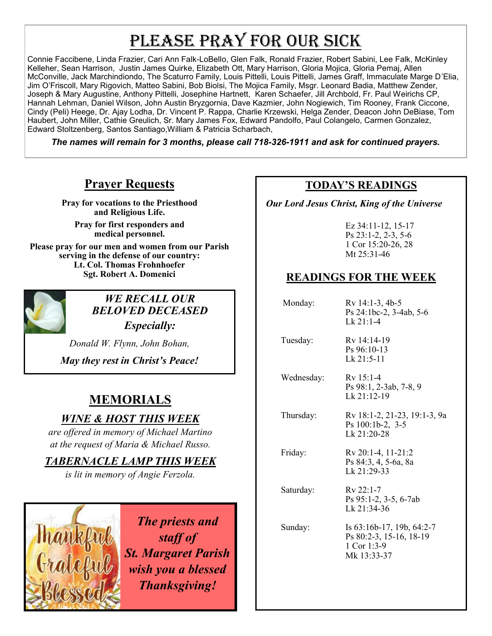# PLEASE PRAY FOR OUR SICK

Connie Faccibene, Linda Frazier, Cari Ann Falk-LoBello, Glen Falk, Ronald Frazier, Robert Sabini, Lee Falk, McKinley Kelleher, Sean Harrison, Justin James Quirke, Elizabeth Ott, Mary Harrison, Gloria Mojica, Gloria Pemaj, Allen McConville, Jack Marchindiondo, The Scaturro Family, Louis Pittelli, Louis Pittelli, James Graff, Immaculate Marge D'Elia, Jim O'Friscoll, Mary Rigovich, Matteo Sabini, Bob Biolsi, The Mojica Family, Msgr. Leonard Badia, Matthew Zender, Joseph & Mary Augustine, Anthony Pittelli, Josephine Hartnett, Karen Schaefer, Jill Archbold, Fr. Paul Weirichs CP, Hannah Lehman, Daniel Wilson, John Austin Bryzgornia, Dave Kazmier, John Nogiewich, Tim Rooney, Frank Ciccone, Cindy (Peli) Heege, Dr. Ajay Lodha, Dr. Vincent P. Rappa, Charlie Krzewski, Helga Zender, Deacon John DeBiase, Tom Haubert, John Miller, Cathie Greulich, Sr. Mary James Fox, Edward Pandolfo, Paul Colangelo, Carmen Gonzalez, Edward Stoltzenberg, Santos Santiago,William & Patricia Scharbach,

*The names will remain for 3 months, please call 718-326-1911 and ask for continued prayers.*

# **Prayer Requests**

**Pray for vocations to the Priesthood and Religious Life.** 

**Pray for first responders and medical personnel.**

**Please pray for our men and women from our Parish serving in the defense of our country: Lt. Col. Thomas Frohnhoefer Sgt. Robert A. Domenici** 



*WE RECALL OUR BELOVED DECEASED Especially:*

*Donald W. Flynn, John Bohan,* 

*May they rest in Christ's Peace!*

# **MEMORIALS**

# *WINE & HOST THIS WEEK*

*are offered in memory of Michael Martino at the request of Maria & Michael Russo.* 

*TABERNACLE LAMP THIS WEEK*

*is lit in memory of Angie Ferzola.* 



*The priests and staff of St. Margaret Parish wish you a blessed Thanksgiving!*

## **TODAY'S READINGS**

 *Our Lord Jesus Christ, King of the Universe* 

Ez 34:11-12, 15-17 Ps 23:1-2, 2-3, 5-6 1 Cor 15:20-26, 28 Mt 25:31-46

# **READINGS FOR THE WEEK**

| Monday:    | Rv 14:1-3, 4b-5<br>Ps 24:1bc-2, 3-4ab, 5-6<br>$1 \times 21:1-4$                    |
|------------|------------------------------------------------------------------------------------|
| Tuesday:   | Ry 14:14-19<br>$Ps\,96:10-13$<br>$Lk$ 21:5-11                                      |
| Wednesday: | $Rv$ 15:1-4<br>Ps 98:1, 2-3ab, 7-8, 9<br>Lk $21:12-19$                             |
| Thursday:  | Rv 18:1-2, 21-23, 19:1-3, 9a<br>Ps $100:1b-2$ , $3-5$<br>$Lk$ 21:20-28             |
| Friday:    | Rv 20:1-4, 11-21:2<br>Ps 84:3, 4, 5-6a, 8a<br>Lk 21:29-33                          |
| Saturday:  | Rv 22:1-7<br>Ps 95:1-2, 3-5, 6-7ab<br>Lk $21:34-36$                                |
| Sunday:    | Is 63:16b-17, 19b, 64:2-7<br>Ps 80:2-3, 15-16, 18-19<br>1 Cor 1:3-9<br>Mk 13:33-37 |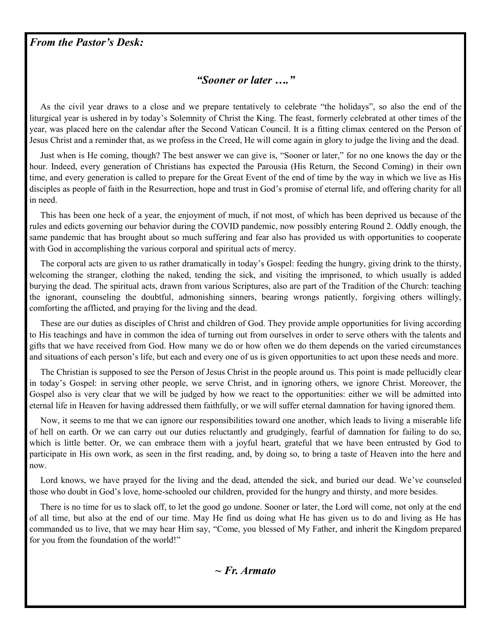#### *From the Pastor's Desk:*

#### *"Sooner or later …."*

 As the civil year draws to a close and we prepare tentatively to celebrate "the holidays", so also the end of the liturgical year is ushered in by today's Solemnity of Christ the King. The feast, formerly celebrated at other times of the year, was placed here on the calendar after the Second Vatican Council. It is a fitting climax centered on the Person of Jesus Christ and a reminder that, as we profess in the Creed, He will come again in glory to judge the living and the dead.

 Just when is He coming, though? The best answer we can give is, "Sooner or later," for no one knows the day or the hour. Indeed, every generation of Christians has expected the Parousia (His Return, the Second Coming) in their own time, and every generation is called to prepare for the Great Event of the end of time by the way in which we live as His disciples as people of faith in the Resurrection, hope and trust in God's promise of eternal life, and offering charity for all in need.

 This has been one heck of a year, the enjoyment of much, if not most, of which has been deprived us because of the rules and edicts governing our behavior during the COVID pandemic, now possibly entering Round 2. Oddly enough, the same pandemic that has brought about so much suffering and fear also has provided us with opportunities to cooperate with God in accomplishing the various corporal and spiritual acts of mercy.

 The corporal acts are given to us rather dramatically in today's Gospel: feeding the hungry, giving drink to the thirsty, welcoming the stranger, clothing the naked, tending the sick, and visiting the imprisoned, to which usually is added burying the dead. The spiritual acts, drawn from various Scriptures, also are part of the Tradition of the Church: teaching the ignorant, counseling the doubtful, admonishing sinners, bearing wrongs patiently, forgiving others willingly, comforting the afflicted, and praying for the living and the dead.

 These are our duties as disciples of Christ and children of God. They provide ample opportunities for living according to His teachings and have in common the idea of turning out from ourselves in order to serve others with the talents and gifts that we have received from God. How many we do or how often we do them depends on the varied circumstances and situations of each person's life, but each and every one of us is given opportunities to act upon these needs and more.

 The Christian is supposed to see the Person of Jesus Christ in the people around us. This point is made pellucidly clear in today's Gospel: in serving other people, we serve Christ, and in ignoring others, we ignore Christ. Moreover, the Gospel also is very clear that we will be judged by how we react to the opportunities: either we will be admitted into eternal life in Heaven for having addressed them faithfully, or we will suffer eternal damnation for having ignored them.

 Now, it seems to me that we can ignore our responsibilities toward one another, which leads to living a miserable life of hell on earth. Or we can carry out our duties reluctantly and grudgingly, fearful of damnation for failing to do so, which is little better. Or, we can embrace them with a joyful heart, grateful that we have been entrusted by God to participate in His own work, as seen in the first reading, and, by doing so, to bring a taste of Heaven into the here and now.

 Lord knows, we have prayed for the living and the dead, attended the sick, and buried our dead. We've counseled those who doubt in God's love, home-schooled our children, provided for the hungry and thirsty, and more besides.

 There is no time for us to slack off, to let the good go undone. Sooner or later, the Lord will come, not only at the end of all time, but also at the end of our time. May He find us doing what He has given us to do and living as He has commanded us to live, that we may hear Him say, "Come, you blessed of My Father, and inherit the Kingdom prepared for you from the foundation of the world!"

*~ Fr. Armato*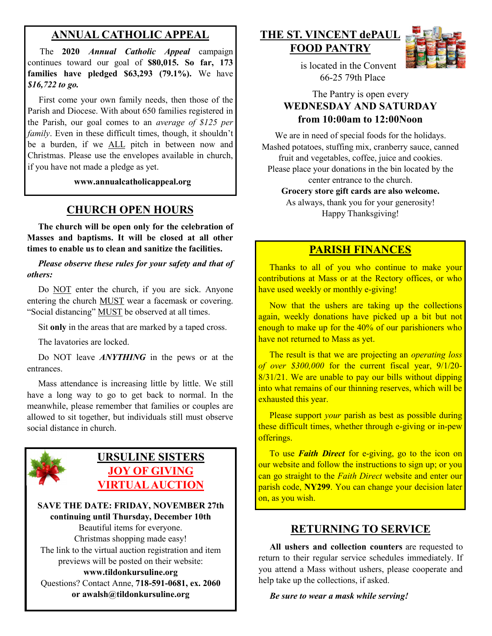# **ANNUAL CATHOLIC APPEAL**

 The **2020** *Annual Catholic Appeal* campaign continues toward our goal of **\$80,015. So far, 173 families have pledged \$63,293 (79.1%).** We have *\$16,722 to go.*

First come your own family needs, then those of the Parish and Diocese. With about 650 families registered in the Parish, our goal comes to an *average of \$125 per family*. Even in these difficult times, though, it shouldn't be a burden, if we ALL pitch in between now and Christmas. Please use the envelopes available in church, if you have not made a pledge as yet.

**www.annualcatholicappeal.org** 

## **CHURCH OPEN HOURS**

 **The church will be open only for the celebration of Masses and baptisms. It will be closed at all other times to enable us to clean and sanitize the facilities.**

 *Please observe these rules for your safety and that of others:*

Do NOT enter the church, if you are sick. Anyone entering the church MUST wear a facemask or covering. "Social distancing" MUST be observed at all times.

Sit **only** in the areas that are marked by a taped cross.

The lavatories are locked.

 Do NOT leave *ANYTHING* in the pews or at the entrances.

 Mass attendance is increasing little by little. We still have a long way to go to get back to normal. In the meanwhile, please remember that families or couples are allowed to sit together, but individuals still must observe social distance in church.



**SAVE THE DATE: FRIDAY, NOVEMBER 27th continuing until Thursday, December 10th** Beautiful items for everyone. Christmas shopping made easy! The link to the virtual auction registration and item previews will be posted on their website: **www.tildonkursuline.org**

Questions? Contact Anne, **718-591-0681, ex. 2060 or awalsh@tildonkursuline.org**

**THE ST. VINCENT dePAUL FOOD PANTRY**



 is located in the Convent 66-25 79th Place

#### The Pantry is open every **WEDNESDAY AND SATURDAY from 10:00am to 12:00Noon**

We are in need of special foods for the holidays. Mashed potatoes, stuffing mix, cranberry sauce, canned fruit and vegetables, coffee, juice and cookies. Please place your donations in the bin located by the center entrance to the church. **Grocery store gift cards are also welcome.**

As always, thank you for your generosity! Happy Thanksgiving!

### **PARISH FINANCES**

 Thanks to all of you who continue to make your contributions at Mass or at the Rectory offices, or who have used weekly or monthly e-giving!

 Now that the ushers are taking up the collections again, weekly donations have picked up a bit but not enough to make up for the 40% of our parishioners who have not returned to Mass as yet.

 The result is that we are projecting an *operating loss of over \$300,000* for the current fiscal year, 9/1/20- 8/31/21. We are unable to pay our bills without dipping into what remains of our thinning reserves, which will be exhausted this vear.

 Please support *your* parish as best as possible during these difficult times, whether through e-giving or in-pew offerings.

 To use *Faith Direct* for e-giving, go to the icon on our website and follow the instructions to sign up; or you can go straight to the *Faith Direct* website and enter our parish code, **NY299**. You can change your decision later on, as you wish.

#### **RETURNING TO SERVICE**

 **All ushers and collection counters** are requested to return to their regular service schedules immediately. If you attend a Mass without ushers, please cooperate and help take up the collections, if asked.

#### *Be sure to wear a mask while serving!*